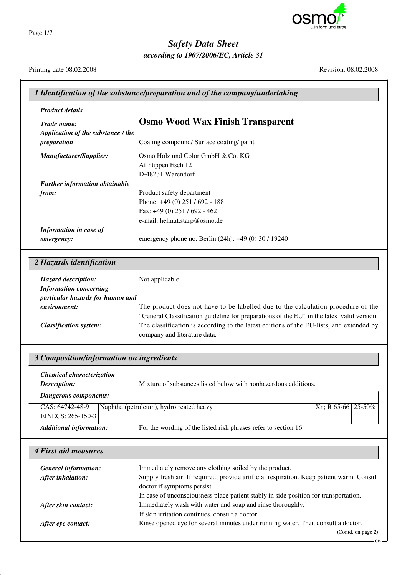

*Safety Data Sheet*

*according to 1907/2006/EC, Article 31*

Printing date 08.02.2008 Revision: 08.02.2008

| <b>Product details</b>                   |                                                                                                                                     |
|------------------------------------------|-------------------------------------------------------------------------------------------------------------------------------------|
| Trade name:                              | <b>Osmo Wood Wax Finish Transparent</b>                                                                                             |
| Application of the substance / the       |                                                                                                                                     |
| preparation                              | Coating compound/ Surface coating/ paint                                                                                            |
| Manufacturer/Supplier:                   | Osmo Holz und Color GmbH & Co. KG                                                                                                   |
|                                          | Affhüppen Esch 12                                                                                                                   |
|                                          | D-48231 Warendorf                                                                                                                   |
| Further information obtainable           |                                                                                                                                     |
| from:                                    | Product safety department                                                                                                           |
|                                          | Phone: +49 (0) 251 / 692 - 188<br>Fax: +49 (0) 251 / 692 - 462                                                                      |
|                                          | e-mail: helmut.starp@osmo.de                                                                                                        |
| Information in case of                   |                                                                                                                                     |
| emergency:                               | emergency phone no. Berlin (24h): +49 (0) 30 / 19240                                                                                |
| 2 Hazards identification                 |                                                                                                                                     |
| Hazard description:                      | Not applicable.                                                                                                                     |
| <b>Information concerning</b>            |                                                                                                                                     |
| particular hazards for human and         |                                                                                                                                     |
| environment:                             | The product does not have to be labelled due to the calculation procedure of the                                                    |
|                                          | "General Classification guideline for preparations of the EU" in the latest valid version.                                          |
| <b>Classification system:</b>            | The classification is according to the latest editions of the EU-lists, and extended by                                             |
|                                          | company and literature data.                                                                                                        |
| 3 Composition/information on ingredients |                                                                                                                                     |
| Chemical characterization                |                                                                                                                                     |
| Description:                             | Mixture of substances listed below with nonhazardous additions.                                                                     |
| <b>Dangerous components:</b>             |                                                                                                                                     |
| CAS: 64742-48-9                          | Naphtha (petroleum), hydrotreated heavy<br>Xn; R 65-66 25-50%                                                                       |
| EINECS: 265-150-3                        |                                                                                                                                     |
| <b>Additional information:</b>           | For the wording of the listed risk phrases refer to section 16.                                                                     |
| <b>4 First aid measures</b>              |                                                                                                                                     |
| <b>General information:</b>              | Immediately remove any clothing soiled by the product.                                                                              |
| After inhalation:                        | Supply fresh air. If required, provide artificial respiration. Keep patient warm. Consult                                           |
|                                          | doctor if symptoms persist.                                                                                                         |
|                                          |                                                                                                                                     |
|                                          | In case of unconsciousness place patient stably in side position for transportation.                                                |
| After skin contact:                      | Immediately wash with water and soap and rinse thoroughly.                                                                          |
|                                          | If skin irritation continues, consult a doctor.<br>Rinse opened eye for several minutes under running water. Then consult a doctor. |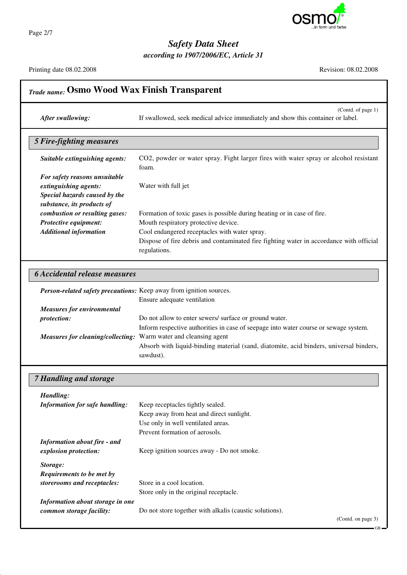

Page 2/7

# *Safety Data Sheet*

*according to 1907/2006/EC, Article 31*

Printing date 08.02.2008 Revision: 08.02.2008

| <b>Trade name: Osmo Wood Wax Finish Transparent</b>                                                                    |                                                                                                                                                                                             |  |
|------------------------------------------------------------------------------------------------------------------------|---------------------------------------------------------------------------------------------------------------------------------------------------------------------------------------------|--|
| After swallowing:                                                                                                      | (Contd. of page 1)<br>If swallowed, seek medical advice immediately and show this container or label.                                                                                       |  |
| <b>5 Fire-fighting measures</b>                                                                                        |                                                                                                                                                                                             |  |
| Suitable extinguishing agents:                                                                                         | CO2, powder or water spray. Fight larger fires with water spray or alcohol resistant<br>foam.                                                                                               |  |
| For safety reasons unsuitable<br>extinguishing agents:<br>Special hazards caused by the                                | Water with full jet                                                                                                                                                                         |  |
| substance, its products of<br>combustion or resulting gases:<br>Protective equipment:<br><b>Additional information</b> | Formation of toxic gases is possible during heating or in case of fire.<br>Mouth respiratory protective device.<br>Cool endangered receptacles with water spray.                            |  |
|                                                                                                                        | Dispose of fire debris and contaminated fire fighting water in accordance with official<br>regulations.                                                                                     |  |
| <b>6 Accidental release measures</b>                                                                                   |                                                                                                                                                                                             |  |
| Person-related safety precautions: Keep away from ignition sources.                                                    | Ensure adequate ventilation                                                                                                                                                                 |  |
| <b>Measures for environmental</b><br>protection:                                                                       | Do not allow to enter sewers/ surface or ground water.                                                                                                                                      |  |
| Measures for cleaning/collecting: Warm water and cleansing agent                                                       | Inform respective authorities in case of seepage into water course or sewage system.<br>Absorb with liquid-binding material (sand, diatomite, acid binders, universal binders,<br>sawdust). |  |
| <b>7 Handling and storage</b>                                                                                          |                                                                                                                                                                                             |  |
| Handling:<br><b>Information for safe handling:</b>                                                                     | Keep receptacles tightly sealed.<br>Keep away from heat and direct sunlight.<br>Use only in well ventilated areas.<br>Prevent formation of aerosols.                                        |  |
| <b>Information about fire - and</b><br>explosion protection:                                                           | Keep ignition sources away - Do not smoke.                                                                                                                                                  |  |
| Storage:<br>Requirements to be met by<br>storerooms and receptacles:                                                   | Store in a cool location.<br>Store only in the original receptacle.                                                                                                                         |  |
| Information about storage in one<br>common storage facility:                                                           | Do not store together with alkalis (caustic solutions).<br>(Contd. on page 3)                                                                                                               |  |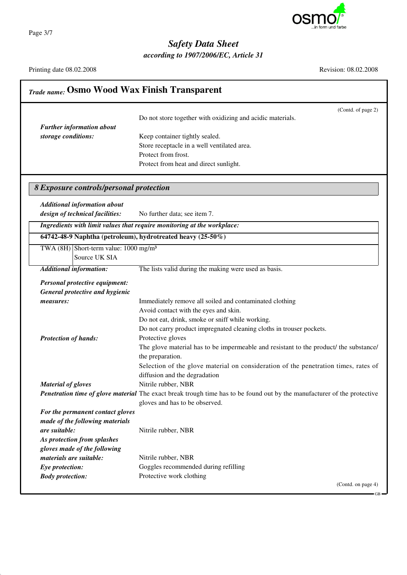

Page 3/7

## *Safety Data Sheet*

*according to 1907/2006/EC, Article 31*

Printing date 08.02.2008 Revision: 08.02.2008

| <b>Trade name: Osmo Wood Wax Finish Transparent</b> |                                                                                                                          |  |
|-----------------------------------------------------|--------------------------------------------------------------------------------------------------------------------------|--|
| <b>Further information about</b>                    | (Contd. of page 2)<br>Do not store together with oxidizing and acidic materials.                                         |  |
|                                                     |                                                                                                                          |  |
| storage conditions:                                 | Keep container tightly sealed.                                                                                           |  |
|                                                     | Store receptacle in a well ventilated area.<br>Protect from frost.                                                       |  |
|                                                     | Protect from heat and direct sunlight.                                                                                   |  |
|                                                     |                                                                                                                          |  |
| 8 Exposure controls/personal protection             |                                                                                                                          |  |
| <b>Additional information about</b>                 |                                                                                                                          |  |
| design of technical facilities:                     | No further data; see item 7.                                                                                             |  |
|                                                     | Ingredients with limit values that require monitoring at the workplace:                                                  |  |
|                                                     | 64742-48-9 Naphtha (petroleum), hydrotreated heavy (25-50%)                                                              |  |
| TWA $(8H)$ Short-term value: 1000 mg/m <sup>3</sup> |                                                                                                                          |  |
| Source UK SIA                                       |                                                                                                                          |  |
| <b>Additional information:</b>                      | The lists valid during the making were used as basis.                                                                    |  |
| Personal protective equipment:                      |                                                                                                                          |  |
| <b>General protective and hygienic</b>              |                                                                                                                          |  |
| measures:                                           | Immediately remove all soiled and contaminated clothing                                                                  |  |
|                                                     | Avoid contact with the eyes and skin.                                                                                    |  |
|                                                     | Do not eat, drink, smoke or sniff while working.                                                                         |  |
|                                                     | Do not carry product impregnated cleaning cloths in trouser pockets.                                                     |  |
| <b>Protection of hands:</b>                         | Protective gloves                                                                                                        |  |
|                                                     | The glove material has to be impermeable and resistant to the product/ the substance/                                    |  |
|                                                     | the preparation.                                                                                                         |  |
|                                                     | Selection of the glove material on consideration of the penetration times, rates of                                      |  |
|                                                     | diffusion and the degradation                                                                                            |  |
| <b>Material of gloves</b>                           | Nitrile rubber, NBR                                                                                                      |  |
|                                                     | Penetration time of glove material The exact break trough time has to be found out by the manufacturer of the protective |  |
|                                                     | gloves and has to be observed.                                                                                           |  |
| For the permanent contact gloves                    |                                                                                                                          |  |
| made of the following materials                     |                                                                                                                          |  |
| are suitable:                                       | Nitrile rubber, NBR                                                                                                      |  |
| As protection from splashes                         |                                                                                                                          |  |
| gloves made of the following                        |                                                                                                                          |  |
| materials are suitable:                             | Nitrile rubber, NBR                                                                                                      |  |
| Eye protection:                                     | Goggles recommended during refilling                                                                                     |  |
| <b>Body protection:</b>                             | Protective work clothing                                                                                                 |  |
|                                                     | (Contd. on page 4)                                                                                                       |  |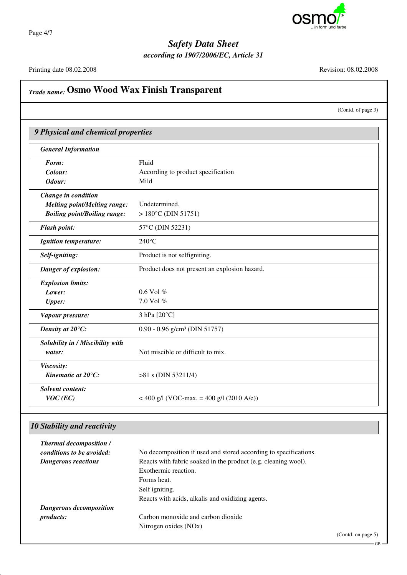

Page 4/7

### *Safety Data Sheet*

*according to 1907/2006/EC, Article 31*

Printing date 08.02.2008 Revision: 08.02.2008

*Trade name:* **Osmo Wood Wax Finish Transparent** (Contd. of page 3) *9 Physical and chemical properties General Information* Form: Fluid *Colour:* According to product specification *Odour:* Mild *Change in condition Melting point/Melting range:* Undetermined. *Boiling point/Boiling range:* > 180°C (DIN 51751) *Flash point:* 57°C (DIN 52231) *Ignition temperature:* 240°C *Self-igniting:* Product is not selfigniting. *Danger of explosion:* Product does not present an explosion hazard. *Explosion limits: Lower:* 0.6 Vol % *Upper:* 7.0 Vol % *Vapour pressure:* 3 hPa [20°C] *Density at 20°C:* 0.90 - 0.96 g/cm<sup>3</sup> (DIN 51757) *Solubility in / Miscibility with water:* Not miscible or difficult to mix. *Viscosity: Kinematic at 20<sup>°</sup>C:*  $>81$  s (DIN 53211/4) *Solvent content: VOC* (*EC*) < 400 g/l (VOC-max. = 400 g/l (2010 A/e))

#### *10 Stability and reactivity*

| <b>Thermal decomposition /</b> |                                                                  |
|--------------------------------|------------------------------------------------------------------|
| conditions to be avoided:      | No decomposition if used and stored according to specifications. |
| <b>Dangerous reactions</b>     | Reacts with fabric soaked in the product (e.g. cleaning wool).   |
|                                | Exothermic reaction.                                             |
|                                | Forms heat.                                                      |
|                                | Self igniting.                                                   |
|                                | Reacts with acids, alkalis and oxidizing agents.                 |
| Dangerous decomposition        |                                                                  |
| <i>products:</i>               | Carbon monoxide and carbon dioxide                               |
|                                | Nitrogen oxides (NOx)                                            |
|                                |                                                                  |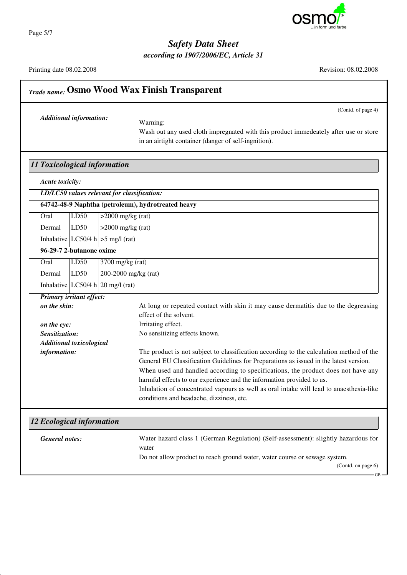

*Safety Data Sheet according to 1907/2006/EC, Article 31*

(Contd. of page 4)

## Printing date 08.02.2008 Revision: 08.02.2008 *Trade name:* **Osmo Wood Wax Finish Transparent** *Additional information:* Warning: Wash out any used cloth impregnated with this product immedeately after use or store in an airtight container (danger of self-ingnition). *11 Toxicological information Acute toxicity: LD/LC50 values relevant for classification:* **64742-48-9 Naphtha (petroleum), hydrotreated heavy** Oral LD50 >2000 mg/kg (rat) Dermal  $|LD50| > 2000$  mg/kg (rat) Inhalative  $|LC50/4 h| > 5$  mg/l (rat) **96-29-7 2-butanone oxime** Oral LD50 3700 mg/kg (rat) Dermal LD50 200-2000 mg/kg (rat) Inhalative  $LC50/4$  h  $20$  mg/l (rat) *Primary irritant effect:* **on the skin:** At long or repeated contact with skin it may cause dermatitis due to the degreasing effect of the solvent. **on the eye:** Irritating effect. *Sensitization:* No sensitizing effects known. *Additional toxicological information:* The product is not subject to classification according to the calculation method of the General EU Classification Guidelines for Preparations as issued in the latest version. When used and handled according to specifications, the product does not have any harmful effects to our experience and the information provided to us. Inhalation of concentrated vapours as well as oral intake will lead to anaesthesia-like conditions and headache, dizziness, etc. *12 Ecological information General notes:* Water hazard class 1 (German Regulation) (Self-assessment): slightly hazardous for

water

Do not allow product to reach ground water, water course or sewage system.

Page 5/7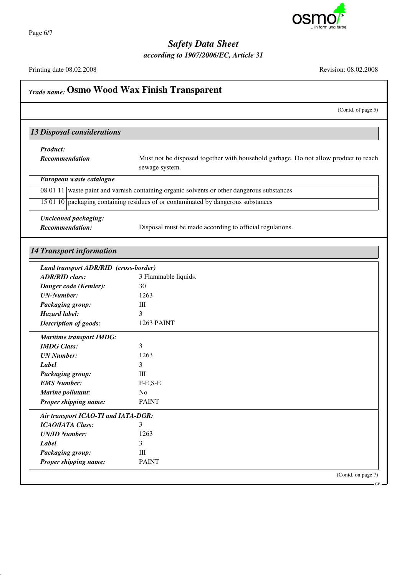

Page 6/7

### *Safety Data Sheet*

*according to 1907/2006/EC, Article 31*

Printing date 08.02.2008 Revision: 08.02.2008

(Contd. of page 5)

### *Trade name:* **Osmo Wood Wax Finish Transparent**

#### *13 Disposal considerations*

*Product:*

**Recommendation** Must not be disposed together with household garbage. Do not allow product to reach sewage system.

*European waste catalogue*

08 01 11 waste paint and varnish containing organic solvents or other dangerous substances

15 01 10 packaging containing residues of or contaminated by dangerous substances

*Uncleaned packaging:*

*Recommendation:* Disposal must be made according to official regulations.

#### *14 Transport information*

| Land transport ADR/RID (cross-border) |                      |  |
|---------------------------------------|----------------------|--|
| <b>ADR/RID class:</b>                 | 3 Flammable liquids. |  |
| Danger code (Kemler):                 | 30                   |  |
| <b>UN-Number:</b>                     | 1263                 |  |
| <b>Packaging group:</b>               | III                  |  |
| Hazard label:                         | 3                    |  |
| <b>Description of goods:</b>          | <b>1263 PAINT</b>    |  |
| <b>Maritime transport IMDG:</b>       |                      |  |
| <b>IMDG</b> Class:                    | 3                    |  |
| <b>UN</b> Number:                     | 1263                 |  |
| Label                                 | 3                    |  |
| <b>Packaging group:</b>               | III                  |  |
| <b>EMS Number:</b>                    | $F-E,S-E$            |  |
| Marine pollutant:                     | N <sub>0</sub>       |  |
| Proper shipping name:                 | <b>PAINT</b>         |  |
| Air transport ICAO-TI and IATA-DGR:   |                      |  |
| <b>ICAO/IATA Class:</b>               | 3                    |  |
| <b>UN/ID Number:</b>                  | 1263                 |  |
| Label                                 | 3                    |  |
| <b>Packaging group:</b>               | Ш                    |  |
| Proper shipping name:                 | <b>PAINT</b>         |  |